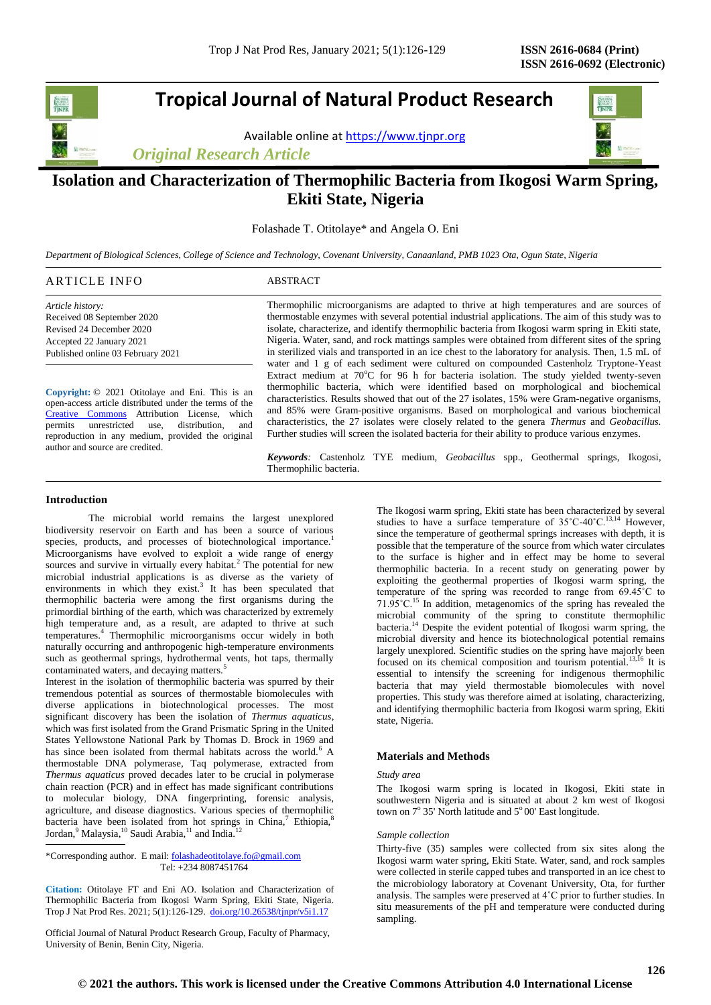# **Tropical Journal of Natural Product Research**

Available online a[t https://www.tjnpr.org](https://www.tjnpr.org/)

*Original Research Article*



# **Isolation and Characterization of Thermophilic Bacteria from Ikogosi Warm Spring, Ekiti State, Nigeria**

Folashade T. Otitolaye\* and Angela O. Eni

*Department of Biological Sciences, College of Science and Technology, Covenant University, Canaanland, PMB 1023 Ota, Ogun State, Nigeria*

| ARTICLE INFO               | <b>ABSTRACT</b>                                                                                    |
|----------------------------|----------------------------------------------------------------------------------------------------|
| Article history:           | Thermophilic microorganisms are adapted to thrive at high temperatures and are sources of          |
| Received 08 September 2020 | thermostable enzymes with several potential industrial applications. The aim of this study was to  |
| Revised 24 December 2020   | isolate, characterize, and identify thermophilic bacteria from Ikogosi warm spring in Ekiti state. |

**Copyright:** © 2021 Otitolaye and Eni. This is an open-access article distributed under the terms of the [Creative Commons](https://creativecommons.org/licenses/by/4.0/) Attribution License, which permits unrestricted use, distribution, and reproduction in any medium, provided the original author and source are credited.

Nigeria. Water, sand, and rock mattings samples were obtained from different sites of the spring in sterilized vials and transported in an ice chest to the laboratory for analysis. Then, 1.5 mL of water and 1 g of each sediment were cultured on compounded Castenholz Tryptone-Yeast Extract medium at  $70^{\circ}$ C for 96 h for bacteria isolation. The study yielded twenty-seven thermophilic bacteria, which were identified based on morphological and biochemical characteristics. Results showed that out of the 27 isolates, 15% were Gram-negative organisms, and 85% were Gram-positive organisms. Based on morphological and various biochemical characteristics, the 27 isolates were closely related to the genera *Thermus* and *Geobacillus.*  Further studies will screen the isolated bacteria for their ability to produce various enzymes.

*Keywords:* Castenholz TYE medium, *Geobacillus* spp., Geothermal springs, Ikogosi, Thermophilic bacteria.

## **Introduction**

Accepted 22 January 2021 Published online 03 February 2021

The microbial world remains the largest unexplored biodiversity reservoir on Earth and has been a source of various species, products, and processes of biotechnological importance.<sup>1</sup> Microorganisms have evolved to exploit a wide range of energy sources and survive in virtually every habitat.<sup>2</sup> The potential for new microbial industrial applications is as diverse as the variety of environments in which they exist. $3$  It has been speculated that thermophilic bacteria were among the first organisms during the primordial birthing of the earth, which was characterized by extremely high temperature and, as a result, are adapted to thrive at such temperatures.<sup>4</sup> Thermophilic microorganisms occur widely in both naturally occurring and anthropogenic high-temperature environments such as geothermal springs, hydrothermal vents, hot taps, thermally contaminated waters, and decaying matters.<sup>5</sup>

Interest in the isolation of thermophilic bacteria was spurred by their tremendous potential as sources of thermostable biomolecules with diverse applications in biotechnological processes. The most significant discovery has been the isolation of *Thermus aquaticus*, which was first isolated from the Grand Prismatic Spring in the United States Yellowstone National Park by Thomas D. Brock in 1969 and has since been isolated from thermal habitats across the world.<sup>6</sup> A thermostable DNA polymerase, Taq polymerase, extracted from *Thermus aquaticus* proved decades later to be crucial in polymerase chain reaction (PCR) and in effect has made significant contributions to molecular biology, DNA fingerprinting, forensic analysis, agriculture, and disease diagnostics. Various species of thermophilic bacteria have been isolated from hot springs in China,<sup>7</sup> Ethiopia,<sup>8</sup> Jordan,<sup>9</sup> Malaysia,<sup>10</sup> Saudi Arabia,<sup>11</sup> and India.<sup>12</sup>

\*Corresponding author. E mail[: folashadeotitolaye.fo@gmail.com](mailto:folashadeotitolaye.fo@gmail.com) Tel: +234 8087451764

**Citation:** Otitolaye FT and Eni AO. Isolation and Characterization of Thermophilic Bacteria from Ikogosi Warm Spring, Ekiti State, Nigeria*.* Trop J Nat Prod Res. 2021; 5(1):126-129. [doi.org/10.26538/tjnpr/v5i1.1](http://www.doi.org/10.26538/tjnpr/v1i4.5)7

Official Journal of Natural Product Research Group, Faculty of Pharmacy, University of Benin, Benin City, Nigeria.

The Ikogosi warm spring, Ekiti state has been characterized by several studies to have a surface temperature of 35°C-40°C.<sup>13,14</sup> However, since the temperature of geothermal springs increases with depth, it is possible that the temperature of the source from which water circulates to the surface is higher and in effect may be home to several thermophilic bacteria. In a recent study on generating power by exploiting the geothermal properties of Ikogosi warm spring, the temperature of the spring was recorded to range from 69.45˚C to  $71.95^{\circ}$ C.<sup>15</sup> In addition, metagenomics of the spring has revealed the microbial community of the spring to constitute thermophilic bacteria. <sup>14</sup> Despite the evident potential of Ikogosi warm spring, the microbial diversity and hence its biotechnological potential remains largely unexplored. Scientific studies on the spring have majorly been focused on its chemical composition and tourism potential.<sup>13,16</sup> It is essential to intensify the screening for indigenous thermophilic bacteria that may yield thermostable biomolecules with novel properties. This study was therefore aimed at isolating, characterizing, and identifying thermophilic bacteria from Ikogosi warm spring, Ekiti state, Nigeria.

# **Materials and Methods**

## *Study area*

The Ikogosi warm spring is located in Ikogosi, Ekiti state in southwestern Nigeria and is situated at about 2 km west of Ikogosi town on  $7^{\circ}$  35' North latitude and  $5^{\circ}$  00' East longitude.

#### *Sample collection*

Thirty-five (35) samples were collected from six sites along the Ikogosi warm water spring, Ekiti State. Water, sand, and rock samples were collected in sterile capped tubes and transported in an ice chest to the microbiology laboratory at Covenant University, Ota, for further analysis. The samples were preserved at 4˚C prior to further studies. In situ measurements of the pH and temperature were conducted during sampling.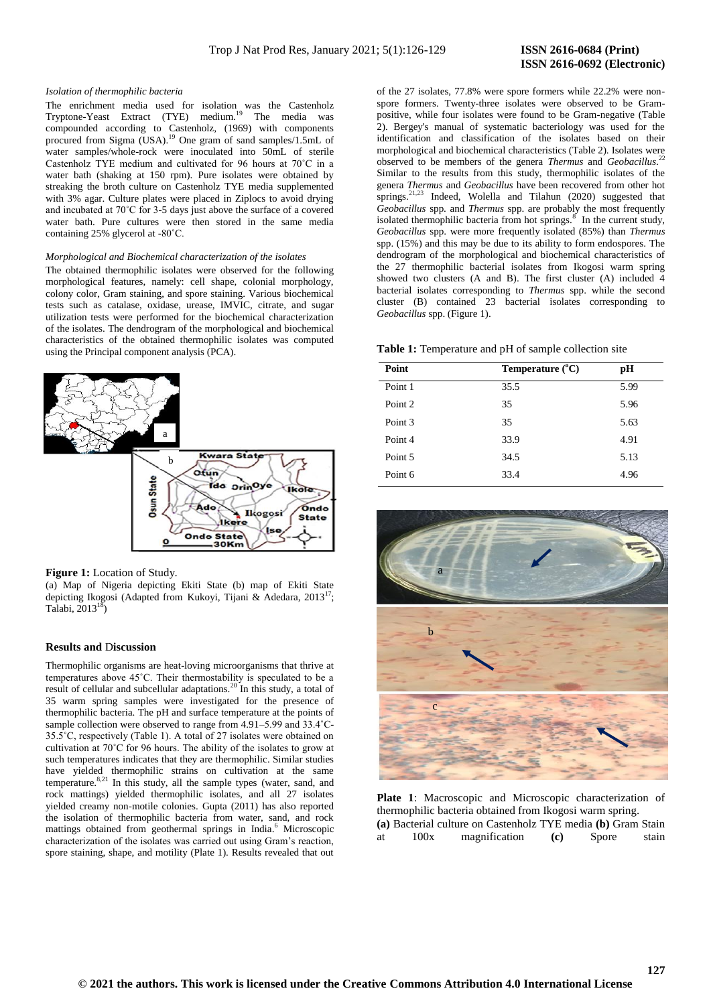# **ISSN 2616-0692 (Electronic)**

#### *Isolation of thermophilic bacteria*

The enrichment media used for isolation was the Castenholz Tryptone-Yeast Extract (TYE) medium.<sup>19</sup> The media was compounded according to Castenholz, (1969) with components procured from Sigma  $(USA)$ <sup>19</sup> One gram of sand samples/1.5mL of water samples/whole-rock were inoculated into 50mL of sterile Castenholz TYE medium and cultivated for 96 hours at 70˚C in a water bath (shaking at 150 rpm). Pure isolates were obtained by streaking the broth culture on Castenholz TYE media supplemented with 3% agar. Culture plates were placed in Ziplocs to avoid drying and incubated at 70˚C for 3-5 days just above the surface of a covered water bath. Pure cultures were then stored in the same media containing 25% glycerol at -80˚C.

#### *Morphological and Biochemical characterization of the isolates*

The obtained thermophilic isolates were observed for the following morphological features, namely: cell shape, colonial morphology, colony color, Gram staining, and spore staining. Various biochemical tests such as catalase, oxidase, urease, IMVIC, citrate, and sugar utilization tests were performed for the biochemical characterization of the isolates. The dendrogram of the morphological and biochemical characteristics of the obtained thermophilic isolates was computed using the Principal component analysis (PCA).



#### **Figure 1:** Location of Study.

(a) Map of Nigeria depicting Ekiti State (b) map of Ekiti State depicting Ikogosi (Adapted from Kukoyi, Tijani & Adedara, 2013<sup>17</sup>; Talabi,  $2013<sup>1</sup>$ 

#### **Results and** D**iscussion**

Thermophilic organisms are heat-loving microorganisms that thrive at temperatures above 45˚C. Their thermostability is speculated to be a result of cellular and subcellular adaptations.<sup>20</sup> In this study, a total of 35 warm spring samples were investigated for the presence of thermophilic bacteria. The pH and surface temperature at the points of sample collection were observed to range from 4.91–5.99 and 33.4˚C-35.5˚C, respectively (Table 1). A total of 27 isolates were obtained on cultivation at 70˚C for 96 hours. The ability of the isolates to grow at such temperatures indicates that they are thermophilic. Similar studies have yielded thermophilic strains on cultivation at the same temperature. $8,21$  In this study, all the sample types (water, sand, and rock mattings) yielded thermophilic isolates, and all 27 isolates yielded creamy non-motile colonies. Gupta (2011) has also reported the isolation of thermophilic bacteria from water, sand, and rock mattings obtained from geothermal springs in India.<sup>6</sup> Microscopic characterization of the isolates was carried out using Gram's reaction, spore staining, shape, and motility (Plate 1). Results revealed that out

of the 27 isolates, 77.8% were spore formers while 22.2% were nonspore formers. Twenty-three isolates were observed to be Grampositive, while four isolates were found to be Gram-negative (Table 2). Bergey's manual of systematic bacteriology was used for the identification and classification of the isolates based on their morphological and biochemical characteristics (Table 2). Isolates were observed to be members of the genera *Thermus* and *Geobacillus*. 22 Similar to the results from this study, thermophilic isolates of the genera *Thermus* and *Geobacillus* have been recovered from other hot springs.<sup>21,23</sup> Indeed, Wolella and Tilahun (2020) suggested that *Geobacillus* spp. and *Thermus* spp. are probably the most frequently isolated thermophilic bacteria from hot springs.<sup>8</sup> In the current study, *Geobacillus* spp. were more frequently isolated (85%) than *Thermus* spp. (15%) and this may be due to its ability to form endospores. The dendrogram of the morphological and biochemical characteristics of the 27 thermophilic bacterial isolates from Ikogosi warm spring showed two clusters (A and B). The first cluster (A) included 4 bacterial isolates corresponding to *Thermus* spp. while the second cluster (B) contained 23 bacterial isolates corresponding to *Geobacillus* spp. (Figure 1).

**Table 1:** Temperature and pH of sample collection site

| Point   | Temperature $(^{\circ}C)$ | рH   |
|---------|---------------------------|------|
| Point 1 | 35.5                      | 5.99 |
| Point 2 | 35                        | 5.96 |
| Point 3 | 35                        | 5.63 |
| Point 4 | 33.9                      | 4.91 |
| Point 5 | 34.5                      | 5.13 |
| Point 6 | 33.4                      | 4.96 |



**Plate 1**: Macroscopic and Microscopic characterization of thermophilic bacteria obtained from Ikogosi warm spring. **(a)** Bacterial culture on Castenholz TYE media **(b)** Gram Stain at 100x magnification **(c)** Spore stain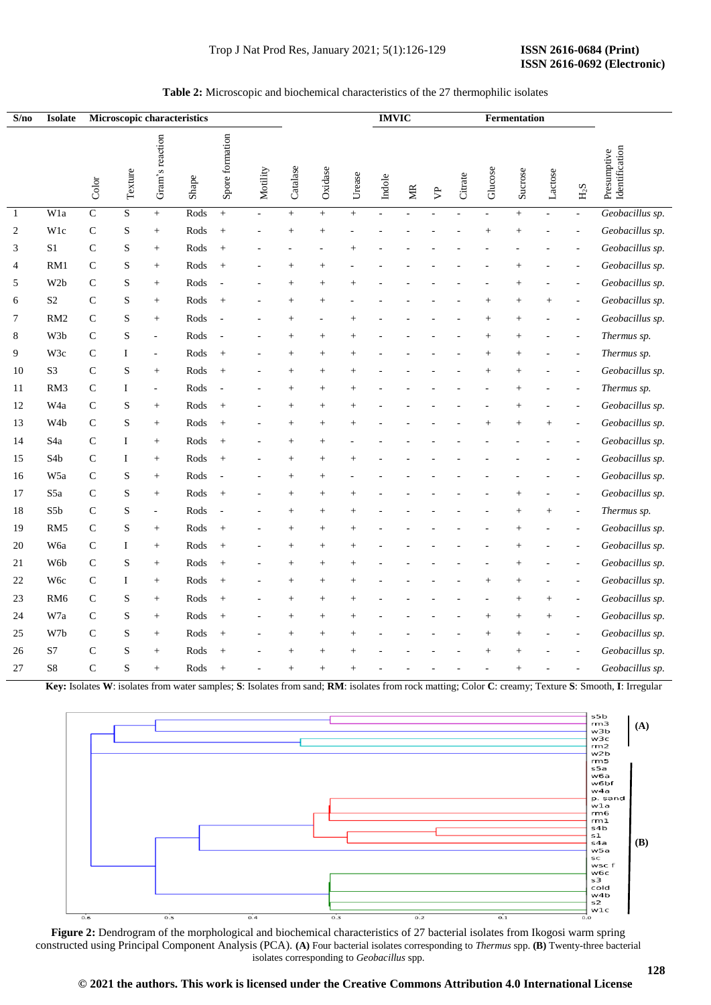#### **IMVIC Fermentation S/no Isolate Microscopic characteristics** Spore formation Gram's reaction Gram's reaction Spore formation Presumptive Identification Presumptive Texture Motility Catalase Oxidase Glucose Sucrose Lactose Urease Shape Indole Citrate Color MR  $\beta$  $_{\rm H2}$ 1 W1a C S + Rods + - + + + - - - - - + - - *Geobacillus sp.* 2 W1c C S + Rods + - + + - - - - - + + - - *Geobacillus sp.* 3 S1 C S + Rods + - - - + - - - - - - - - *Geobacillus sp.* 4 RM1 C S + Rods + - + + - - - - - - + - - *Geobacillus sp.* 5 W2b C S + Rods - - + + + - - - - - + - - *Geobacillus sp.* 6 S2 C S + Rods + - + + - - - - - + + + - *Geobacillus sp.* 7 RM2 C S + Rods - - + - + - - - - + + - - *Geobacillus sp.* 8 W3b C S - Rods - - + + + - - - - + + - - *Thermus sp.* 9 W3c C I - Rods + - + + + - - - - + + - - *Thermus sp.* 10 S3 C S + Rods + - + + + - - - - + + - - *Geobacillus sp.* 11 RM3 C I - Rods - - + + + - - - - - + - - *Thermus sp.* 12 W4a C S + Rods + - + + + - - - - - + - - *Geobacillus sp.* W4b C S + Rods + - + + + - - - - + + + - *Geobacillus sp.* 13 14 S4a C I + Rods + - + + - - - - - - - - - *Geobacillus sp.* 15 S4b C I + Rods + - + + + - - - - - - - - *Geobacillus sp.* 16 W5a C S + Rods - - + + - - - - - - - - - *Geobacillus sp.* 17 S5a C S + Rods + - + + + - - - - - + - - *Geobacillus sp.* 18 S5b C S - Rods - - + + + - - - - - + + - *Thermus sp.* RM5 C S + Rods + - + + + - - - - - + - - *Geobacillus sp.* 19 20 W6a C I + Rods + - + + + - - - - - + - - *Geobacillus sp.* 21 W6b C S + Rods + - + + + - - - - - + - - *Geobacillus sp.*  $22$ W6c C I + Rods + - + + + - - - - + + - - *Geobacillus sp.* 23 RM6 C S + Rods + - + + + - - - - - + + - *Geobacillus sp.* 24 W7a C S + Rods + - + + + - - - - + + + - *Geobacillus sp.* 25 W7b C S + Rods + - + + + - - - - + + - - *Geobacillus sp.* 26 S7 C S + Rods + - + + + - - - - + + - - *Geobacillus sp.* 27 S8 C S + Rods + - + + + - - - - - + - - *Geobacillus sp.*

# **Table 2:** Microscopic and biochemical characteristics of the 27 thermophilic isolates

**Key:** Isolates **W**: isolates from water samples; **S**: Isolates from sand; **RM**: isolates from rock matting; Color **C**: creamy; Texture **S**: Smooth, **I**: Irregular



**Figure 2:** Dendrogram of the morphological and biochemical characteristics of 27 bacterial isolates from Ikogosi warm spring constructed using Principal Component Analysis (PCA). **(A)** Four bacterial isolates corresponding to *Thermus* spp. **(B)** Twenty-three bacterial isolates corresponding to *Geobacillus* spp.